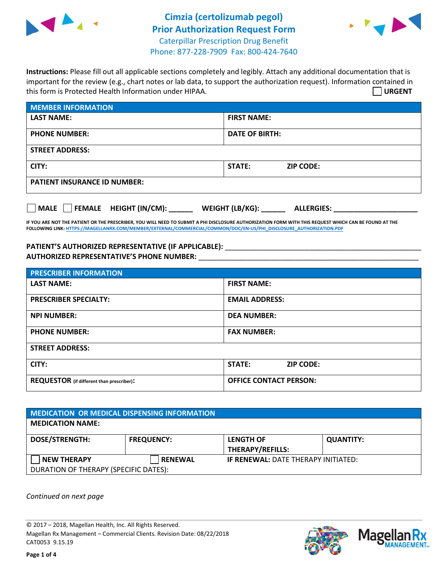

## **Cimzia (certolizumab pegol) Prior Authorization Request Form** Caterpillar Prescription Drug Benefit Phone: 877-228-7909 Fax: 800-424-7640



**Instructions:** Please fill out all applicable sections completely and legibly. Attach any additional documentation that is important for the review (e.g., chart notes or lab data, to support the authorization request). Information contained in this form is Protected Health Information under HIPAA. **URGENT**

| <b>MEMBER INFORMATION</b>           |                                   |  |  |
|-------------------------------------|-----------------------------------|--|--|
| <b>LAST NAME:</b>                   | <b>FIRST NAME:</b>                |  |  |
| <b>PHONE NUMBER:</b>                | <b>DATE OF BIRTH:</b>             |  |  |
| <b>STREET ADDRESS:</b>              |                                   |  |  |
| CITY:                               | <b>STATE:</b><br><b>ZIP CODE:</b> |  |  |
| <b>PATIENT INSURANCE ID NUMBER:</b> |                                   |  |  |

**MALE FEMALE HEIGHT (IN/CM): \_\_\_\_\_\_ WEIGHT (LB/KG): \_\_\_\_\_\_ ALLERGIES: \_\_\_\_\_\_\_\_\_\_\_\_\_\_\_\_\_\_\_\_\_**

**IF YOU ARE NOT THE PATIENT OR THE PRESCRIBER, YOU WILL NEED TO SUBMIT A PHI DISCLOSURE AUTHORIZATION FORM WITH THIS REQUEST WHICH CAN BE FOUND AT THE FOLLOWING LINK[: HTTPS://MAGELLANRX.COM/MEMBER/EXTERNAL/COMMERCIAL/COMMON/DOC/EN-US/PHI\\_DISCLOSURE\\_AUTHORIZATION.PDF](https://magellanrx.com/member/external/commercial/common/doc/en-us/PHI_Disclosure_Authorization.pdf)**

## **PATIENT'S AUTHORIZED REPRESENTATIVE (IF APPLICABLE):** \_\_\_\_\_\_\_\_\_\_\_\_\_\_\_\_\_\_\_\_\_\_\_\_\_\_\_\_\_\_\_\_\_\_\_\_\_\_\_\_\_\_\_\_\_\_\_\_\_ **AUTHORIZED REPRESENTATIVE'S PHONE NUMBER:** \_\_\_\_\_\_\_\_\_\_\_\_\_\_\_\_\_\_\_\_\_\_\_\_\_\_\_\_\_\_\_\_\_\_\_\_\_\_\_\_\_\_\_\_\_\_\_\_\_\_\_\_\_\_\_

| <b>PRESCRIBER INFORMATION</b>             |                               |  |  |
|-------------------------------------------|-------------------------------|--|--|
| <b>LAST NAME:</b>                         | <b>FIRST NAME:</b>            |  |  |
| <b>PRESCRIBER SPECIALTY:</b>              | <b>EMAIL ADDRESS:</b>         |  |  |
| <b>NPI NUMBER:</b>                        | <b>DEA NUMBER:</b>            |  |  |
| <b>PHONE NUMBER:</b>                      | <b>FAX NUMBER:</b>            |  |  |
| <b>STREET ADDRESS:</b>                    |                               |  |  |
| CITY:                                     | STATE:<br><b>ZIP CODE:</b>    |  |  |
| REQUESTOR (if different than prescriber): | <b>OFFICE CONTACT PERSON:</b> |  |  |

| <b>MEDICATION OR MEDICAL DISPENSING INFORMATION</b> |                   |                                             |                  |  |  |
|-----------------------------------------------------|-------------------|---------------------------------------------|------------------|--|--|
| <b>MEDICATION NAME:</b>                             |                   |                                             |                  |  |  |
| <b>DOSE/STRENGTH:</b>                               | <b>FREQUENCY:</b> | <b>LENGTH OF</b><br><b>THERAPY/REFILLS:</b> | <b>QUANTITY:</b> |  |  |
| <b>NEW THERAPY</b>                                  | <b>RENEWAL</b>    | <b>IF RENEWAL: DATE THERAPY INITIATED:</b>  |                  |  |  |
| DURATION OF THERAPY (SPECIFIC DATES):               |                   |                                             |                  |  |  |

*Continued on next page*

© 2017 – 2018, Magellan Health, Inc. All Rights Reserved. Magellan Rx Management – Commercial Clients. Revision Date: 08/22/2018 CAT0053 9.15.19

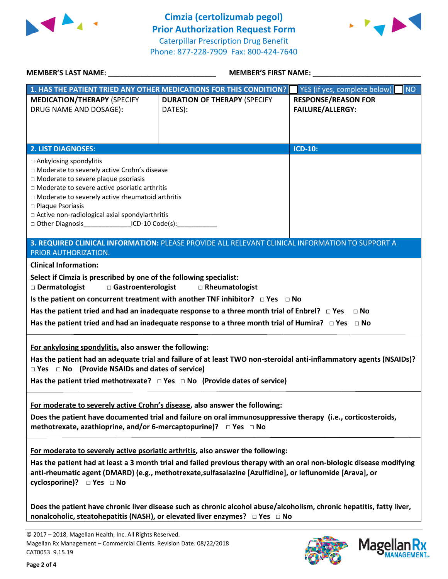



| MEMBER'S LAST NAME: NAME:                                                                                                                                                                                                                                                                                                                                                                                                                                                                                                                                                                                                                                                                                                                                                                                                       | MEMBER'S FIRST NAME:                           |                                                       |  |  |
|---------------------------------------------------------------------------------------------------------------------------------------------------------------------------------------------------------------------------------------------------------------------------------------------------------------------------------------------------------------------------------------------------------------------------------------------------------------------------------------------------------------------------------------------------------------------------------------------------------------------------------------------------------------------------------------------------------------------------------------------------------------------------------------------------------------------------------|------------------------------------------------|-------------------------------------------------------|--|--|
| 1. HAS THE PATIENT TRIED ANY OTHER MEDICATIONS FOR THIS CONDITION?                                                                                                                                                                                                                                                                                                                                                                                                                                                                                                                                                                                                                                                                                                                                                              |                                                | YES (if yes, complete below)<br><b>NO</b>             |  |  |
| <b>MEDICATION/THERAPY (SPECIFY</b><br>DRUG NAME AND DOSAGE):                                                                                                                                                                                                                                                                                                                                                                                                                                                                                                                                                                                                                                                                                                                                                                    | <b>DURATION OF THERAPY (SPECIFY</b><br>DATES): | <b>RESPONSE/REASON FOR</b><br><b>FAILURE/ALLERGY:</b> |  |  |
| <b>2. LIST DIAGNOSES:</b>                                                                                                                                                                                                                                                                                                                                                                                                                                                                                                                                                                                                                                                                                                                                                                                                       |                                                | <b>ICD-10:</b>                                        |  |  |
| □ Ankylosing spondylitis<br>□ Moderate to severely active Crohn's disease<br>□ Moderate to severe plaque psoriasis<br>□ Moderate to severe active psoriatic arthritis<br>□ Moderate to severely active rheumatoid arthritis<br>□ Plaque Psoriasis<br>□ Active non-radiological axial spondylarthritis<br>□ Other Diagnosis _________________ICD-10 Code(s):                                                                                                                                                                                                                                                                                                                                                                                                                                                                     |                                                |                                                       |  |  |
| 3. REQUIRED CLINICAL INFORMATION: PLEASE PROVIDE ALL RELEVANT CLINICAL INFORMATION TO SUPPORT A<br>PRIOR AUTHORIZATION.                                                                                                                                                                                                                                                                                                                                                                                                                                                                                                                                                                                                                                                                                                         |                                                |                                                       |  |  |
| <b>Clinical Information:</b><br>Select if Cimzia is prescribed by one of the following specialist:<br>□ Gastroenterologist<br>□ Rheumatologist<br>□ Dermatologist<br>Is the patient on concurrent treatment with another TNF inhibitor? $\Box$ Yes $\Box$ No<br>Has the patient tried and had an inadequate response to a three month trial of Enbrel? $\Box$ Yes $\Box$ No<br>Has the patient tried and had an inadequate response to a three month trial of Humira? $\Box$ Yes $\Box$ No<br>For ankylosing spondylitis, also answer the following:<br>Has the patient had an adequate trial and failure of at least TWO non-steroidal anti-inflammatory agents (NSAIDs)?<br>$\Box$ Yes $\Box$ No (Provide NSAIDs and dates of service)<br>Has the patient tried methotrexate? $\Box$ Yes $\Box$ No (Provide dates of service) |                                                |                                                       |  |  |
| For moderate to severely active Crohn's disease, also answer the following:<br>Does the patient have documented trial and failure on oral immunosuppressive therapy (i.e., corticosteroids,<br>methotrexate, azathioprine, and/or 6-mercaptopurine)? $\Box$ Yes $\Box$ No                                                                                                                                                                                                                                                                                                                                                                                                                                                                                                                                                       |                                                |                                                       |  |  |
| For moderate to severely active psoriatic arthritis, also answer the following:<br>Has the patient had at least a 3 month trial and failed previous therapy with an oral non-biologic disease modifying<br>anti-rheumatic agent (DMARD) (e.g., methotrexate, sulfasalazine [Azulfidine], or leflunomide [Arava], or<br>cyclosporine)? $\Box$ Yes $\Box$ No<br>Does the patient have chronic liver disease such as chronic alcohol abuse/alcoholism, chronic hepatitis, fatty liver,                                                                                                                                                                                                                                                                                                                                             |                                                |                                                       |  |  |
| nonalcoholic, steatohepatitis (NASH), or elevated liver enzymes? □ Yes □ No                                                                                                                                                                                                                                                                                                                                                                                                                                                                                                                                                                                                                                                                                                                                                     |                                                |                                                       |  |  |



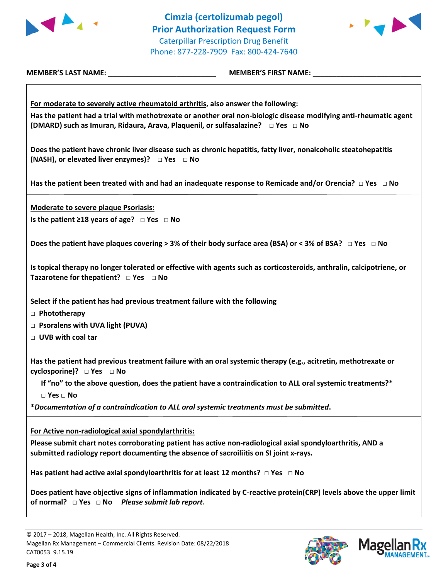



**MEMBER'S LAST NAME:** \_\_\_\_\_\_\_\_\_\_\_\_\_\_\_\_\_\_\_\_\_\_\_\_\_\_\_ **MEMBER'S FIRST NAME:** \_\_\_\_\_\_\_\_\_\_\_\_\_\_\_\_\_\_\_\_\_\_\_\_\_\_\_ **For moderate to severely active rheumatoid arthritis, also answer the following: Has the patient had a trial with methotrexate or another oral non-biologic disease modifying anti-rheumatic agent (DMARD) such as Imuran, Ridaura, Arava, Plaquenil, or sulfasalazine? □ Yes □ No Does the patient have chronic liver disease such as chronic hepatitis, fatty liver, nonalcoholic steatohepatitis (NASH), or elevated liver enzymes)? □ Yes □ No Has the patient been treated with and had an inadequate response to Remicade and/or Orencia? □ Yes □ No Moderate to severe plaque Psoriasis: Is the patient ≥18 years of age? □ Yes □ No Does the patient have plaques covering > 3% of their body surface area (BSA) or < 3% of BSA? □ Yes □ No Is topical therapy no longer tolerated or effective with agents such as corticosteroids, anthralin, calcipotriene, or Tazarotene for thepatient? □ Yes □ No Select if the patient has had previous treatment failure with the following □ Phototherapy □ Psoralens with UVA light (PUVA) □ UVB with coal tar Has the patient had previous treatment failure with an oral systemic therapy (e.g., acitretin, methotrexate or cyclosporine)? □ Yes □ No If "no" to the above question, does the patient have a contraindication to ALL oral systemic treatments?\* □ Yes □ No \****Documentation of a contraindication to ALL oral systemic treatments must be submitted***. For Active non-radiological axial spondylarthritis: Please submit chart notes corroborating patient has active non-radiological axial spondyloarthritis, AND a submitted radiology report documenting the absence of sacroiliitis on SI joint x-rays. Has patient had active axial spondyloarthritis for at least 12 months? □ Yes □ No Does patient have objective signs of inflammation indicated by C-reactive protein(CRP) levels above the upper limit of normal? □ Yes □ No** *Please submit lab report***.**

© 2017 – 2018, Magellan Health, Inc. All Rights Reserved. Magellan Rx Management – Commercial Clients. Revision Date: 08/22/2018 CAT0053 9.15.19